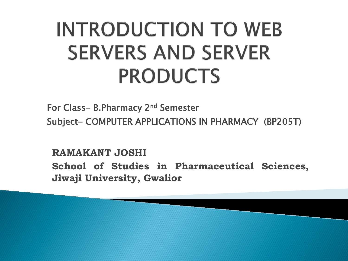# **INTRODUCTION TO WEB SERVERS AND SERVER PRODUCTS**

For Class- B.Pharmacy 2nd Semester Subject- COMPUTER APPLICATIONS IN PHARMACY (BP205T)

**RAMAKANT JOSHI School of Studies in Pharmaceutical Sciences, Jiwaji University, Gwalior**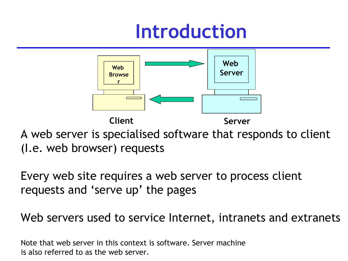## **Introduction**



A web server is specialised software that responds to client (I.e. web browser) requests

Every web site requires a web server to process client requests and 'serve up' the pages

Web servers used to service Internet, intranets and extranets

Note that web server in this context is software. Server machine is also referred to as the web server.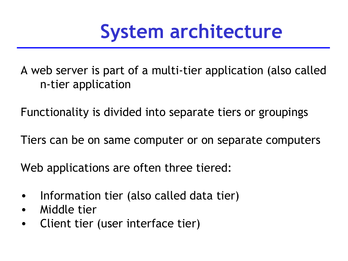## **System architecture**

A web server is part of a multi-tier application (also called n-tier application

Functionality is divided into separate tiers or groupings

Tiers can be on same computer or on separate computers

Web applications are often three tiered:

- Information tier (also called data tier)
- Middle tier
- Client tier (user interface tier)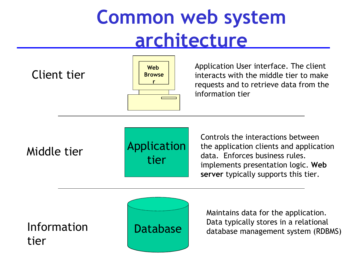## **Common web system architecture**

Client tier



Application User interface. The client interacts with the middle tier to make requests and to retrieve data from the information tier

Middle tier



Controls the interactions between the application clients and application data. Enforces business rules. implements presentation logic. **Web server** typically supports this tier.

Information tier



Maintains data for the application. Data typically stores in a relational database management system (RDBMS)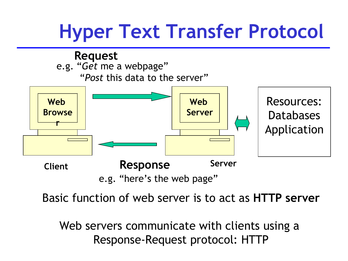## **Hyper Text Transfer Protocol**



Basic function of web server is to act as **HTTP server**

Web servers communicate with clients using a Response-Request protocol: HTTP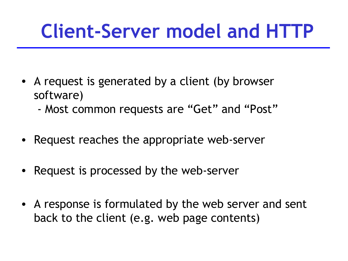## **Client-Server model and HTTP**

- A request is generated by a client (by browser software)
	- Most common requests are "Get" and "Post"
- Request reaches the appropriate web-server
- Request is processed by the web-server
- A response is formulated by the web server and sent back to the client (e.g. web page contents)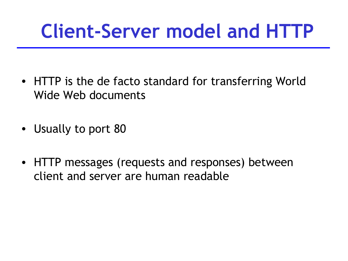## **Client-Server model and HTTP**

- HTTP is the de facto standard for transferring World Wide Web documents
- Usually to port 80
- HTTP messages (requests and responses) between client and server are human readable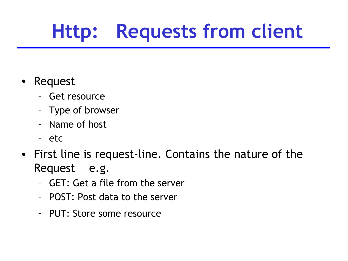# **Http: Requests from client**

- Request
	- Get resource
	- Type of browser
	- Name of host
	- etc
- First line is request-line. Contains the nature of the Request e.g.
	- GET: Get a file from the server
	- POST: Post data to the server
	- PUT: Store some resource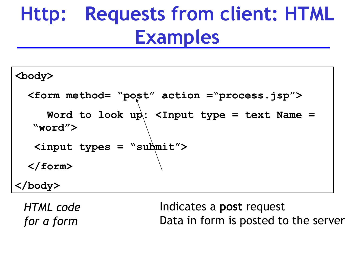## **Http: Requests from client: HTML Examples**

**<body> <form method= "post" action ="process.jsp"> Word to look up: <Input type = text Name = "word"> <input types = "submit"> </form> </body>**

*HTML code for a form*

Indicates a **post** request Data in form is posted to the server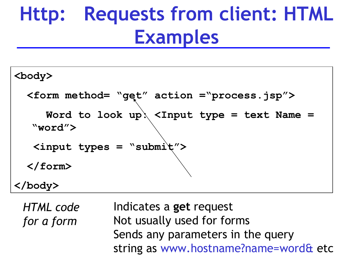## **Http: Requests from client: HTML Examples**

**<body> <form method= "get" action ="process.jsp"> Word to look up: <Input type = text Name = "word"> <input types = "submit"> </form> </body>**

*HTML code for a form*

Indicates a **get** request Not usually used for forms Sends any parameters in the query string as www.hostname?name=word& etc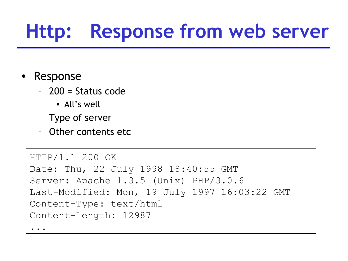## **Http: Response from web server**

- Response
	- 200 = Status code
		- All's well
	- Type of server
	- Other contents etc

```
HTTP/1.1 200 OK
Date: Thu, 22 July 1998 18:40:55 GMT
Server: Apache 1.3.5 (Unix) PHP/3.0.6
Last-Modified: Mon, 19 July 1997 16:03:22 GMT
Content-Type: text/html
Content-Length: 12987
...
```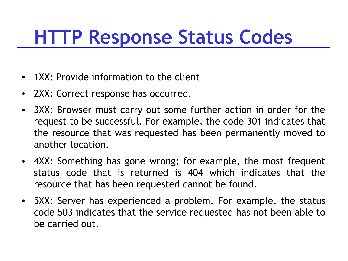## **HTTP Response Status Codes**

- 1XX: Provide information to the client
- 2XX: Correct response has occurred.
- 3XX: Browser must carry out some further action in order for the request to be successful. For example, the code 301 indicates that the resource that was requested has been permanently moved to another location.
- 4XX: Something has gone wrong; for example, the most frequent status code that is returned is 404 which indicates that the resource that has been requested cannot be found.
- 5XX: Server has experienced a problem. For example, the status code 503 indicates that the service requested has not been able to be carried out.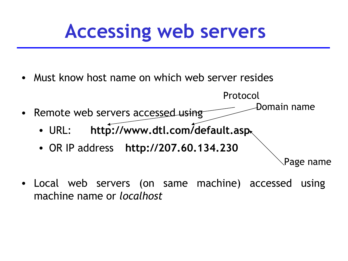## **Accessing web servers**

- Must know host name on which web server resides
- Remote web servers accessed using • URL: **http://www.dtl.com/default.asp** • OR IP address **http://207.60.134.230** Protocol Domain name Page name
- Local web servers (on same machine) accessed using machine name or *localhost*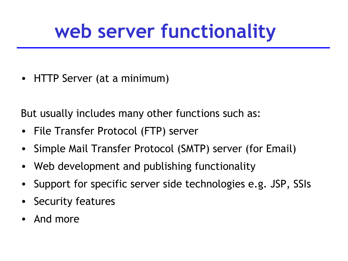## **web server functionality**

• HTTP Server (at a minimum)

But usually includes many other functions such as:

- File Transfer Protocol (FTP) server
- Simple Mail Transfer Protocol (SMTP) server (for Email)
- Web development and publishing functionality
- Support for specific server side technologies e.g. JSP, SSIs
- Security features
- And more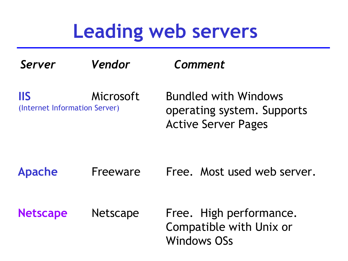### **Leading web servers**

| Server                                      | Vendor          | Comment                                                                                 |
|---------------------------------------------|-----------------|-----------------------------------------------------------------------------------------|
| <b>IIS</b><br>(Internet Information Server) | Microsoft       | <b>Bundled with Windows</b><br>operating system. Supports<br><b>Active Server Pages</b> |
| <b>Apache</b>                               | Freeware        | Free. Most used web server.                                                             |
| <b>Netscape</b>                             | <b>Netscape</b> | Free. High performance.<br>Compatible with Unix or<br><b>Windows OSs</b>                |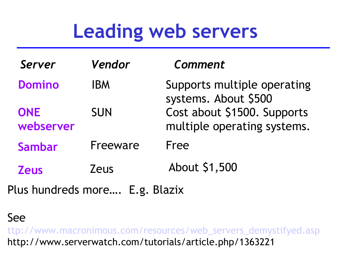## **Leading web servers**

| Server                  | Vendor      | Comment                                                    |
|-------------------------|-------------|------------------------------------------------------------|
| <b>Domino</b>           | <b>IBM</b>  | Supports multiple operating<br>systems. About \$500        |
| <b>ONE</b><br>webserver | <b>SUN</b>  | Cost about \$1500. Supports<br>multiple operating systems. |
| <b>Sambar</b>           | Freeware    | Free                                                       |
| <b>Zeus</b>             | <b>Zeus</b> | About \$1,500                                              |

Plus hundreds more…. E.g. Blazix

See

[ttp://www.macronimous.com/resources/web\\_servers\\_demystifyed.asp](http://www.macronimous.com/resources/web_servers_demystifyed.asp) http://www.serverwatch.com/tutorials/article.php/1363221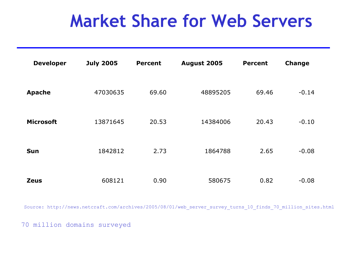#### **Market Share for Web Servers**

| <b>Developer</b> | <b>July 2005</b> | <b>Percent</b> | August 2005 | <b>Percent</b> | <b>Change</b> |
|------------------|------------------|----------------|-------------|----------------|---------------|
| <b>Apache</b>    | 47030635         | 69.60          | 48895205    | 69.46          | $-0.14$       |
| <b>Microsoft</b> | 13871645         | 20.53          | 14384006    | 20.43          | $-0.10$       |
| <b>Sun</b>       | 1842812          | 2.73           | 1864788     | 2.65           | $-0.08$       |
| <b>Zeus</b>      | 608121           | 0.90           | 580675      | 0.82           | $-0.08$       |

Source: http://news.netcraft.com/archives/2005/08/01/web\_server\_survey\_turns\_10\_finds\_70\_million\_sites.html

70 million domains surveyed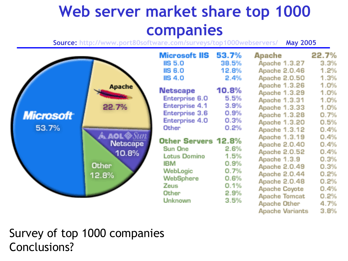#### **Web server market share top 1000 companies**

**Source:<http://www.port80software.com/surveys/top1000webservers/>May 2005**



Survey of top 1000 companies Conclusions?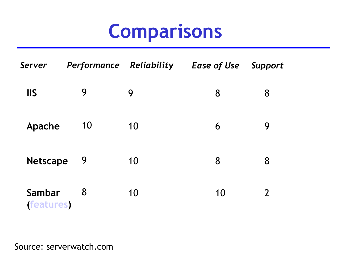## **Comparisons**

| <u>Server</u>             | <b>Performance Reliability</b> |    | <u>Ease of Use</u> | <b>Support</b> |
|---------------------------|--------------------------------|----|--------------------|----------------|
| <b>IIS</b>                | 9                              | 9  | 8                  | 8              |
| Apache                    | 10                             | 10 | 6                  | 9              |
| <b>Netscape</b>           | 9                              | 10 | 8                  | 8              |
| Sambar<br><b>features</b> | 8                              | 10 | 10                 | $\overline{2}$ |

Source: serverwatch.com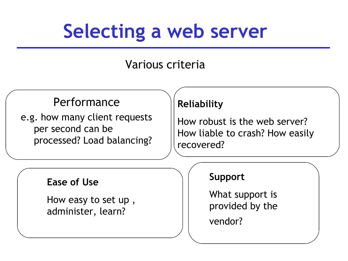## **Selecting a web server**

#### Various criteria

#### **Performance**

e.g. how many client requests per second can be processed? Load balancing?

#### **Reliability**

How robust is the web server? How liable to crash? How easily recovered?

#### **Ease of Use**

How easy to set up , administer, learn?

#### **Support**

What support is provided by the

vendor?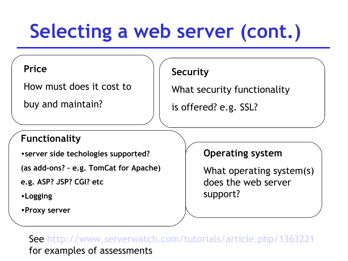# **Selecting a web server (cont.)**

#### **Price**

How must does it cost to

buy and maintain?

#### **Security**

What security functionality

is offered? e.g. SSL?

#### **Functionality**

•**server side techologies supported?** 

**(as add-ons? – e.g. TomCat for Apache)**

**e.g. ASP? JSP? CGI? etc**

•**Logging**

•**Proxy server** 

#### **Operating system**

What operating system(s) does the web server support?

See<http://www.serverwatch.com/tutorials/article.php/1363221> for examples of assessments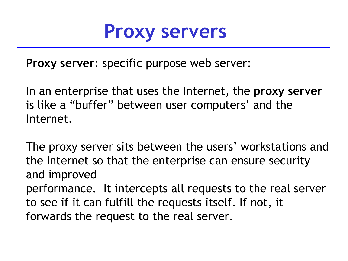

**Proxy server**: specific purpose web server:

In an enterprise that uses the Internet, the **proxy server**  is like a "buffer" between user computers' and the Internet.

The proxy server sits between the users' workstations and the Internet so that the enterprise can ensure security and improved performance. It intercepts all requests to the real server to see if it can fulfill the requests itself. If not, it forwards the request to the real server.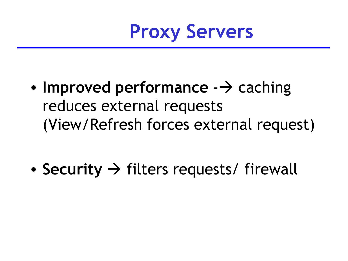

- **Improved performance**  $\rightarrow$  caching reduces external requests (View/Refresh forces external request)
- **Security**  $\rightarrow$  filters requests/ firewall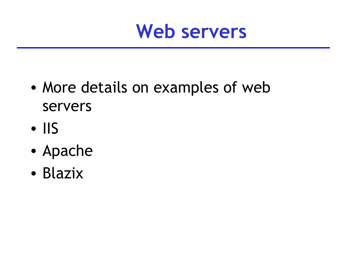

- More details on examples of web servers
- IIS
- Apache
- Blazix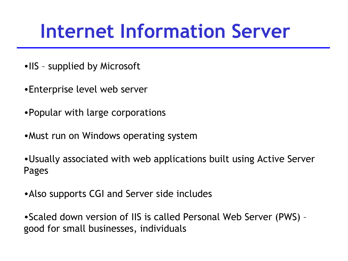## **Internet Information Server**

- •IIS supplied by Microsoft
- •Enterprise level web server
- •Popular with large corporations
- •Must run on Windows operating system

•Usually associated with web applications built using Active Server Pages

•Also supports CGI and Server side includes

•Scaled down version of IIS is called Personal Web Server (PWS) – good for small businesses, individuals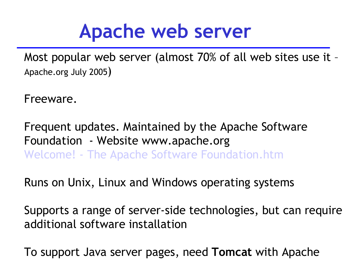### **Apache web server**

Most popular web server (almost 70% of all web sites use it – Apache.org July 2005)

Freeware.

Frequent updates. Maintained by the Apache Software Foundation - Website www.apache.org [Welcome! - The Apache Software Foundation.htm](file:///home/pptfactory/temp/20100414083703/../../../../../$DIT/2005-2006/Web Dev1/Lectures/Welcome! - The Apache Software Foundation.htm)

Runs on Unix, Linux and Windows operating systems

Supports a range of server-side technologies, but can require additional software installation

To support Java server pages, need **Tomcat** with Apache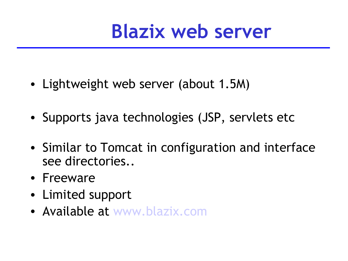

- Lightweight web server (about 1.5M)
- Supports java technologies (JSP, servlets etc
- Similar to Tomcat in configuration and interface see directories..
- Freeware
- Limited support
- Available at [www.blazix.com](file:///home/pptfactory/temp/20100414083703/../../../../../../$DIT/Web Dev 2/Week2 29 Sept/Blazix Java Application-Web Server.htm)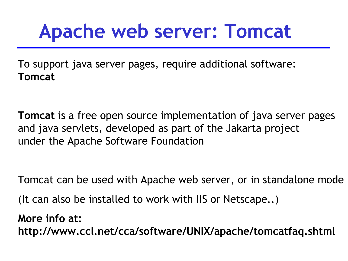## **Apache web server: Tomcat**

To support java server pages, require additional software: **Tomcat**

**Tomcat** is a free open source implementation of java server pages and java servlets, developed as part of the Jakarta project under the Apache Software Foundation

Tomcat can be used with Apache web server, or in standalone mode (It can also be installed to work with IIS or Netscape..)

**More info at: http://www.ccl.net/cca/software/UNIX/apache/tomcatfaq.shtml**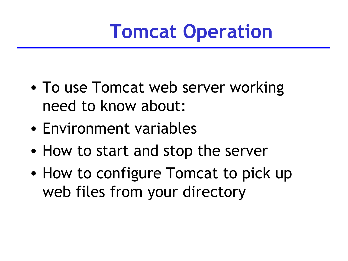## **Tomcat Operation**

- To use Tomcat web server working need to know about:
- Environment variables
- How to start and stop the server
- How to configure Tomcat to pick up web files from your directory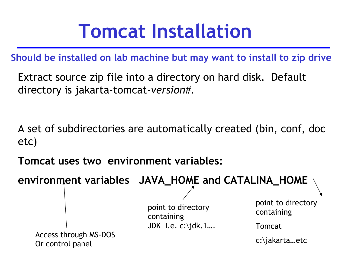## **Tomcat Installation**

**Should be installed on lab machine but may want to install to zip drive**

Extract source zip file into a directory on hard disk. Default directory is jakarta-tomcat-*version#.*

A set of subdirectories are automatically created (bin, conf, doc etc)

**Tomcat uses two environment variables:**

**environment variables JAVA\_HOME and CATALINA\_HOME**

point to directory containing JDK I.e. c:\jdk.1….

Access through MS-DOS<br>
C:\jakarta...etc Or control panel

point to directory containing

Tomcat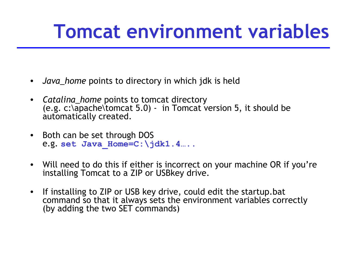## **Tomcat environment variables**

- *Java\_home* points to directory in which jdk is held
- *Catalina\_home* points to tomcat directory  $(e.g. c:\overline{apache}$  tomcat 5.0) - in Tomcat version 5, it should be automatically created.
- Both can be set through DOS e.g. **set Java\_Home=C:\jdk1.4…..**
- Will need to do this if either is incorrect on your machine OR if you're installing Tomcat to a ZIP or USBkey drive.
- If installing to ZIP or USB key drive, could edit the startup.bat command so that it always sets the environment variables correctly (by adding the two SET commands)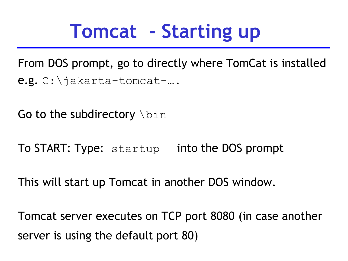## **Tomcat - Starting up**

From DOS prompt, go to directly where TomCat is installed e.g. C:\jakarta-tomcat-….

Go to the subdirectory  $\lambda$ bin

To START: Type: startup into the DOS prompt

This will start up Tomcat in another DOS window.

Tomcat server executes on TCP port 8080 (in case another server is using the default port 80)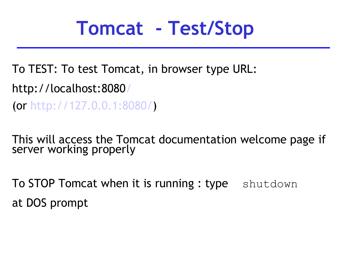## **Tomcat - Test/Stop**

To TEST: To test Tomcat, in browser type URL: http://localhost:808[0/](http://local-host:8080/)

(or [http://127.0.0.1:8080/\)](http://127.0.0.1:8080/)

This will access the Tomcat documentation welcome page if server working properly

**To STOP Tomcat when it is running : type** shutdown at DOS prompt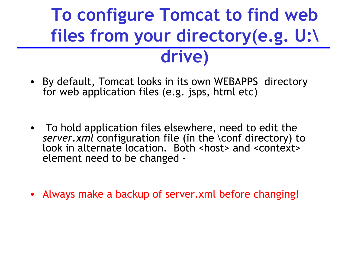### **To configure Tomcat to find web files from your directory(e.g. U:\ drive)**

- By default, Tomcat looks in its own WEBAPPS directory for web application files (e.g. jsps, html etc)
- To hold application files elsewhere, need to edit the *server.xml* configuration file (in the \conf directory) to look in alternate location. Both <host> and <context> element need to be changed -
- Always make a backup of server.xml before changing!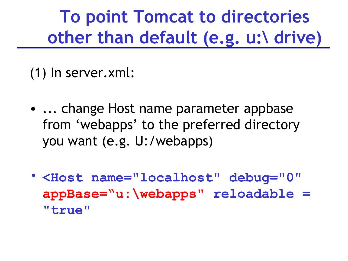### **To point Tomcat to directories other than default (e.g. u:\ drive)**

(1) In server.xml:

- ... change Host name parameter appbase from 'webapps' to the preferred directory you want (e.g. U:/webapps)
- **<Host name="localhost" debug="0" appBase="u:\webapps" reloadable = "true"**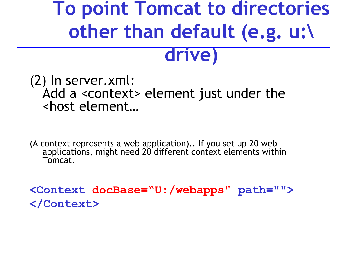# **To point Tomcat to directories other than default (e.g. u:\**

#### **drive)**

#### (2) In server.xml: Add a <context> element just under the <host element…

(A context represents a web application).. If you set up 20 web applications, might need 20 different context elements within Tomcat.

**<Context docBase="U:/webapps" path=""> </Context>**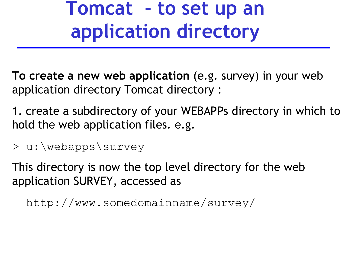### **Tomcat - to set up an application directory**

**To create a new web application** (e.g. survey) in your web application directory Tomcat directory :

1. create a subdirectory of your WEBAPPs directory in which to hold the web application files. e.g.

> u:\webapps\survey

This directory is now the top level directory for the web application SURVEY, accessed as

http://www.somedomainname/survey/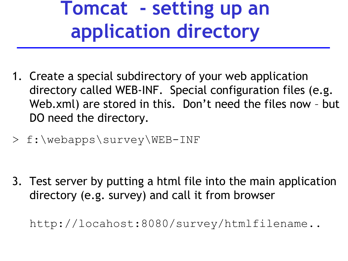## **Tomcat - setting up an application directory**

- 1. Create a special subdirectory of your web application directory called WEB-INF. Special configuration files (e.g. Web.xml) are stored in this. Don't need the files now – but DO need the directory.
- > f:\webapps\survey\WEB-INF

3. Test server by putting a html file into the main application directory (e.g. survey) and call it from browser

http://locahost:8080/survey/htmlfilename..